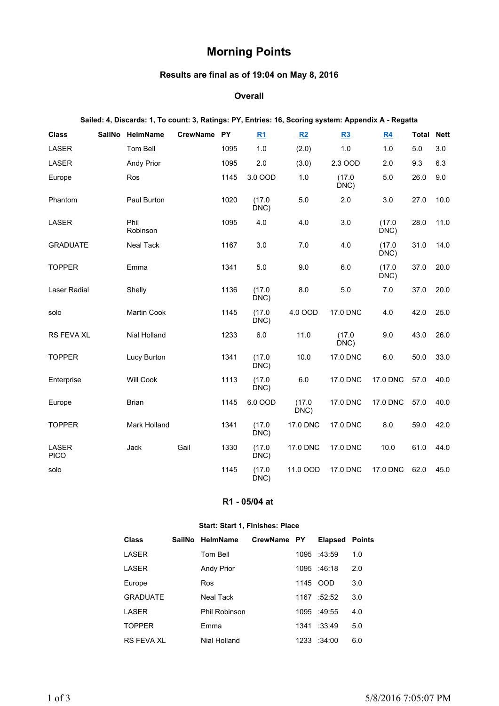# **Morning Points**

## **Results are final as of 19:04 on May 8, 2016**

#### **Overall**

#### **Sailed: 4, Discards: 1, To count: 3, Ratings: PY, Entries: 16, Scoring system: Appendix A - Regatta**

| <b>Class</b>                | <b>SailNo</b> | HelmName          | <b>CrewName</b> | <b>PY</b> | <u>R1</u>      | R2            | R3             | R4             | Total | <b>Nett</b> |
|-----------------------------|---------------|-------------------|-----------------|-----------|----------------|---------------|----------------|----------------|-------|-------------|
| LASER                       |               | Tom Bell          |                 | 1095      | 1.0            | (2.0)         | 1.0            | 1.0            | 5.0   | 3.0         |
| LASER                       |               | <b>Andy Prior</b> |                 | 1095      | 2.0            | (3.0)         | 2.3 OOD        | 2.0            | 9.3   | 6.3         |
| Europe                      |               | Ros               |                 | 1145      | 3.0 OOD        | 1.0           | (17.0)<br>DNC) | 5.0            | 26.0  | 9.0         |
| Phantom                     |               | Paul Burton       |                 | 1020      | (17.0)<br>DNC) | 5.0           | 2.0            | 3.0            | 27.0  | 10.0        |
| LASER                       |               | Phil<br>Robinson  |                 | 1095      | 4.0            | 4.0           | 3.0            | (17.0)<br>DNC) | 28.0  | 11.0        |
| <b>GRADUATE</b>             |               | <b>Neal Tack</b>  |                 | 1167      | 3.0            | 7.0           | 4.0            | (17.0)<br>DNC) | 31.0  | 14.0        |
| <b>TOPPER</b>               |               | Emma              |                 | 1341      | 5.0            | 9.0           | 6.0            | (17.0)<br>DNC) | 37.0  | 20.0        |
| <b>Laser Radial</b>         |               | Shelly            |                 | 1136      | (17.0)<br>DNC) | 8.0           | 5.0            | 7.0            | 37.0  | 20.0        |
| solo                        |               | Martin Cook       |                 | 1145      | (17.0)<br>DNC) | 4.0 OOD       | 17.0 DNC       | 4.0            | 42.0  | 25.0        |
| RS FEVA XL                  |               | Nial Holland      |                 | 1233      | 6.0            | 11.0          | (17.0)<br>DNC) | 9.0            | 43.0  | 26.0        |
| <b>TOPPER</b>               |               | Lucy Burton       |                 | 1341      | (17.0)<br>DNC) | 10.0          | 17.0 DNC       | 6.0            | 50.0  | 33.0        |
| Enterprise                  |               | <b>Will Cook</b>  |                 | 1113      | (17.0)<br>DNC) | 6.0           | 17.0 DNC       | 17.0 DNC       | 57.0  | 40.0        |
| Europe                      |               | Brian             |                 | 1145      | 6.0 OOD        | (17.0)<br>DNC | 17.0 DNC       | 17.0 DNC       | 57.0  | 40.0        |
| <b>TOPPER</b>               |               | Mark Holland      |                 | 1341      | (17.0)<br>DNC) | 17.0 DNC      | 17.0 DNC       | 8.0            | 59.0  | 42.0        |
| <b>LASER</b><br><b>PICO</b> |               | Jack              | Gail            | 1330      | (17.0)<br>DNC) | 17.0 DNC      | 17.0 DNC       | 10.0           | 61.0  | 44.0        |
| solo                        |               |                   |                 | 1145      | (17.0)<br>DNC) | 11.0 OOD      | 17.0 DNC       | 17.0 DNC       | 62.0  | 45.0        |

#### **R1 - 05/04 at**

#### **Start: Start 1, Finishes: Place**

| Class             | SailNo HelmName   | CrewName PY |      | <b>Elapsed Points</b> |     |
|-------------------|-------------------|-------------|------|-----------------------|-----|
| LASER             | Tom Bell          |             |      | 1095 :43:59           | 1.0 |
| LASER             | <b>Andy Prior</b> |             |      | 1095 :46:18           | 2.0 |
| Europe            | Ros               |             | 1145 | 00D                   | 3.0 |
| <b>GRADUATE</b>   | Neal Tack         |             | 1167 | :52:52                | 3.0 |
| LASER             | Phil Robinson     |             |      | 1095 :49:55           | 4.0 |
| <b>TOPPER</b>     | Emma              |             | 1341 | :33:49                | 5.0 |
| <b>RS FEVA XL</b> | Nial Holland      |             | 1233 | :34:00                | 6.0 |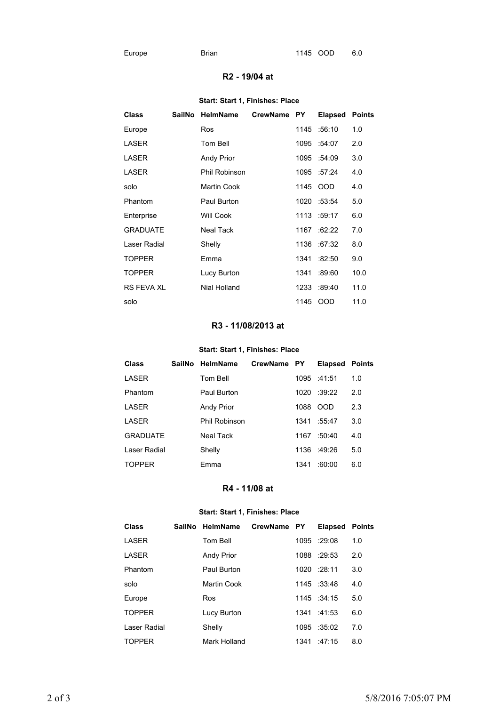### **R2 - 19/04 at**

#### **Start: Start 1, Finishes: Place**

| <b>Class</b>      | SailNo | <b>HelmName</b>      | CrewName PY |      | <b>Elapsed</b> | <b>Points</b> |
|-------------------|--------|----------------------|-------------|------|----------------|---------------|
| Europe            |        | Ros                  |             | 1145 | :56:10         | 1.0           |
| LASER             |        | Tom Bell             |             | 1095 | :54:07         | 2.0           |
| LASER             |        | <b>Andy Prior</b>    |             | 1095 | :54:09         | 3.0           |
| LASER             |        | <b>Phil Robinson</b> |             | 1095 | :57:24         | 4.0           |
| solo              |        | Martin Cook          |             | 1145 | <b>OOD</b>     | 4.0           |
| Phantom           |        | Paul Burton          |             | 1020 | :53:54         | 5.0           |
| Enterprise        |        | Will Cook            |             |      | 1113 :59:17    | 6.0           |
| <b>GRADUATE</b>   |        | <b>Neal Tack</b>     |             | 1167 | :62:22         | 7.0           |
| Laser Radial      |        | Shelly               |             | 1136 | :67:32         | 8.0           |
| <b>TOPPER</b>     |        | Emma                 |             | 1341 | :82:50         | 9.0           |
| <b>TOPPER</b>     |        | Lucy Burton          |             | 1341 | :89:60         | 10.0          |
| <b>RS FEVA XL</b> |        | Nial Holland         |             | 1233 | :89:40         | 11.0          |
| solo              |        |                      |             | 1145 | <b>OOD</b>     | 11.0          |

# **R3 - 11/08/2013 at**

### **Start: Start 1, Finishes: Place**

| <b>Class</b>    | SailNo HelmName   | CrewName PY |      | <b>Elapsed</b> | <b>Points</b> |
|-----------------|-------------------|-------------|------|----------------|---------------|
| LASER           | Tom Bell          |             |      | 1095 :41:51    | 1.0           |
| Phantom         | Paul Burton       |             | 1020 | :39:22         | 2.0           |
| LASER           | <b>Andy Prior</b> |             | 1088 | <b>OOD</b>     | 2.3           |
| LASER           | Phil Robinson     |             | 1341 | :55:47         | 3.0           |
| <b>GRADUATE</b> | Neal Tack         |             | 1167 | :50:40         | 4.0           |
| Laser Radial    | Shelly            |             | 1136 | :49:26         | 5.0           |
| <b>TOPPER</b>   | Emma              |             | 1341 | :60:00         | 6.0           |

## **R4 - 11/08 at**

#### **Start: Start 1, Finishes: Place**

| <b>Class</b>  | <b>SailNo</b> | <b>HelmName</b>    | CrewName PY |      | <b>Elapsed</b> | <b>Points</b> |
|---------------|---------------|--------------------|-------------|------|----------------|---------------|
| LASER         |               | Tom Bell           |             |      | 1095 :29:08    | 1.0           |
| LASER         |               | <b>Andy Prior</b>  |             | 1088 | :29:53         | 2.0           |
| Phantom       |               | Paul Burton        |             |      | 1020 :28:11    | 3.0           |
| solo          |               | <b>Martin Cook</b> |             | 1145 | :33:48         | 4.0           |
| Europe        |               | Ros                |             |      | $1145 \t34:15$ | 5.0           |
| <b>TOPPER</b> |               | Lucy Burton        |             | 1341 | $-41.53$       | 6.0           |
| Laser Radial  |               | Shelly             |             | 1095 | :35:02         | 7.0           |
| <b>TOPPER</b> |               | Mark Holland       |             | 1341 | 147.15         | 8.0           |